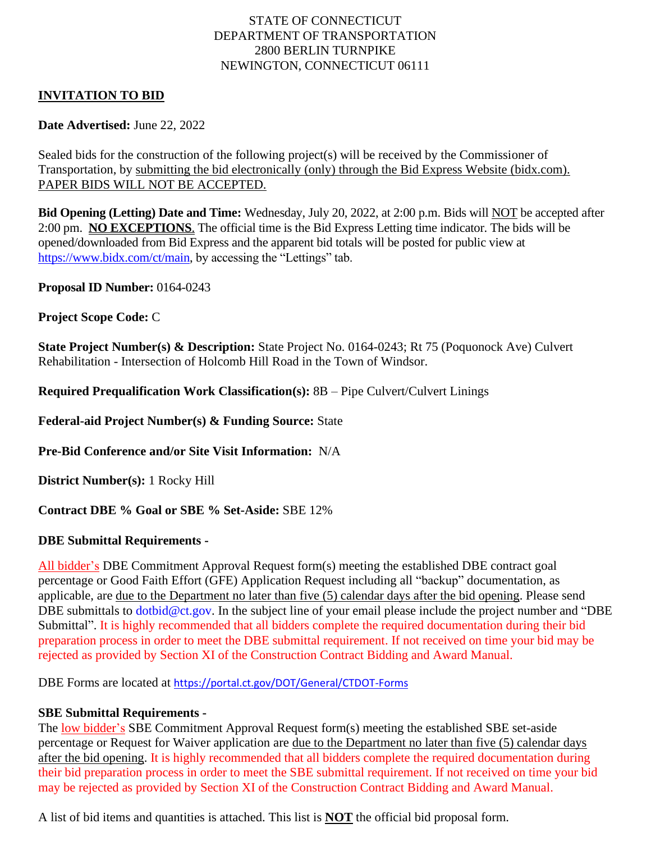# STATE OF CONNECTICUT DEPARTMENT OF TRANSPORTATION 2800 BERLIN TURNPIKE NEWINGTON, CONNECTICUT 06111

# **INVITATION TO BID**

# **Date Advertised:** June 22, 2022

Sealed bids for the construction of the following project(s) will be received by the Commissioner of Transportation, by submitting the bid electronically (only) through the Bid Express Website (bidx.com). PAPER BIDS WILL NOT BE ACCEPTED.

**Bid Opening (Letting) Date and Time:** Wednesday, July 20, 2022, at 2:00 p.m. Bids will NOT be accepted after 2:00 pm. **NO EXCEPTIONS**. The official time is the Bid Express Letting time indicator. The bids will be opened/downloaded from Bid Express and the apparent bid totals will be posted for public view at [https://www.bidx.com/ct/main,](https://www.bidx.com/ct/main) by accessing the "Lettings" tab.

**Proposal ID Number:** 0164-0243

# **Project Scope Code:** C

**State Project Number(s) & Description:** State Project No. 0164-0243; Rt 75 (Poquonock Ave) Culvert Rehabilitation - Intersection of Holcomb Hill Road in the Town of Windsor.

**Required Prequalification Work Classification(s):** 8B – Pipe Culvert/Culvert Linings

**Federal-aid Project Number(s) & Funding Source:** State

**Pre-Bid Conference and/or Site Visit Information:** N/A

**District Number(s):** 1 Rocky Hill

### **Contract DBE % Goal or SBE % Set-Aside:** SBE 12%

### **DBE Submittal Requirements -**

All bidder's DBE Commitment Approval Request form(s) meeting the established DBE contract goal percentage or Good Faith Effort (GFE) Application Request including all "backup" documentation, as applicable, are due to the Department no later than five (5) calendar days after the bid opening. Please send DBE submittals to [dotbid@ct.gov.](mailto:dotbid@ct.gov) In the subject line of your email please include the project number and "DBE Submittal". It is highly recommended that all bidders complete the required documentation during their bid preparation process in order to meet the DBE submittal requirement. If not received on time your bid may be rejected as provided by Section XI of the Construction Contract Bidding and Award Manual.

DBE Forms are located at <https://portal.ct.gov/DOT/General/CTDOT-Forms>

### **SBE Submittal Requirements -**

The <u>low bidder's</u> SBE Commitment Approval Request form(s) meeting the established SBE set-aside percentage or Request for Waiver application are due to the Department no later than five (5) calendar days after the bid opening. It is highly recommended that all bidders complete the required documentation during their bid preparation process in order to meet the SBE submittal requirement. If not received on time your bid may be rejected as provided by Section XI of the Construction Contract Bidding and Award Manual.

A list of bid items and quantities is attached. This list is **NOT** the official bid proposal form.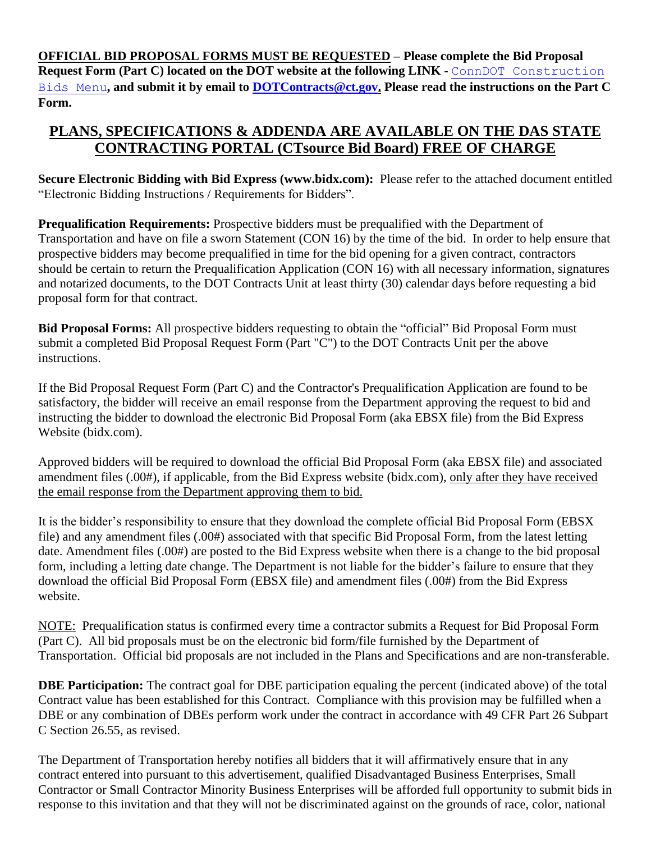**OFFICIAL BID PROPOSAL FORMS MUST BE REQUESTED – Please complete the Bid Proposal Request Form (Part C) located on the DOT website at the following LINK -** [ConnDOT Construction](mailto:ConnDOT%20Construction%20Bids%20Menu)  [Bids Menu](mailto:ConnDOT%20Construction%20Bids%20Menu)**, and submit it by email to [DOTContracts@ct.gov.](mailto:DOTContracts@ct.gov) Please read the instructions on the Part C Form.**

# **PLANS, SPECIFICATIONS & ADDENDA ARE AVAILABLE ON THE DAS STATE CONTRACTING PORTAL (CTsource Bid Board) FREE OF CHARGE**

**Secure Electronic Bidding with Bid Express (www.bidx.com):** Please refer to the attached document entitled "Electronic Bidding Instructions / Requirements for Bidders".

**Prequalification Requirements:** Prospective bidders must be prequalified with the Department of Transportation and have on file a sworn Statement (CON 16) by the time of the bid. In order to help ensure that prospective bidders may become prequalified in time for the bid opening for a given contract, contractors should be certain to return the Prequalification Application (CON 16) with all necessary information, signatures and notarized documents, to the DOT Contracts Unit at least thirty (30) calendar days before requesting a bid proposal form for that contract.

**Bid Proposal Forms:** All prospective bidders requesting to obtain the "official" Bid Proposal Form must submit a completed Bid Proposal Request Form (Part "C") to the DOT Contracts Unit per the above instructions.

If the Bid Proposal Request Form (Part C) and the Contractor's Prequalification Application are found to be satisfactory, the bidder will receive an email response from the Department approving the request to bid and instructing the bidder to download the electronic Bid Proposal Form (aka EBSX file) from the Bid Express Website (bidx.com).

Approved bidders will be required to download the official Bid Proposal Form (aka EBSX file) and associated amendment files (.00#), if applicable, from the Bid Express website (bidx.com), only after they have received the email response from the Department approving them to bid.

It is the bidder's responsibility to ensure that they download the complete official Bid Proposal Form (EBSX file) and any amendment files (.00#) associated with that specific Bid Proposal Form, from the latest letting date. Amendment files (.00#) are posted to the Bid Express website when there is a change to the bid proposal form, including a letting date change. The Department is not liable for the bidder's failure to ensure that they download the official Bid Proposal Form (EBSX file) and amendment files (.00#) from the Bid Express website.

NOTE: Prequalification status is confirmed every time a contractor submits a Request for Bid Proposal Form (Part C). All bid proposals must be on the electronic bid form/file furnished by the Department of Transportation. Official bid proposals are not included in the Plans and Specifications and are non-transferable.

**DBE Participation:** The contract goal for DBE participation equaling the percent (indicated above) of the total Contract value has been established for this Contract. Compliance with this provision may be fulfilled when a DBE or any combination of DBEs perform work under the contract in accordance with 49 CFR Part 26 Subpart C Section 26.55, as revised.

The Department of Transportation hereby notifies all bidders that it will affirmatively ensure that in any contract entered into pursuant to this advertisement, qualified Disadvantaged Business Enterprises, Small Contractor or Small Contractor Minority Business Enterprises will be afforded full opportunity to submit bids in response to this invitation and that they will not be discriminated against on the grounds of race, color, national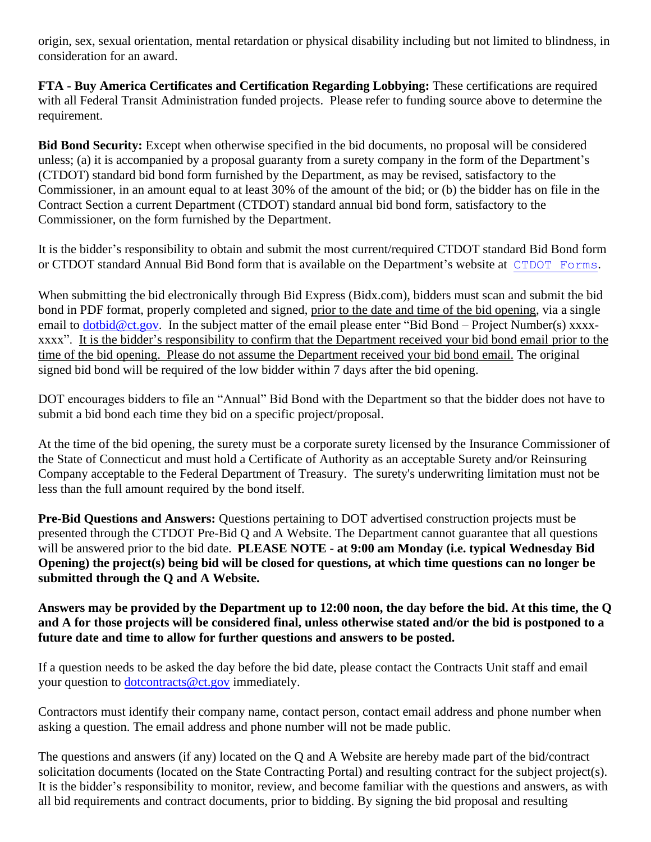origin, sex, sexual orientation, mental retardation or physical disability including but not limited to blindness, in consideration for an award.

**FTA - Buy America Certificates and Certification Regarding Lobbying:** These certifications are required with all Federal Transit Administration funded projects. Please refer to funding source above to determine the requirement.

**Bid Bond Security:** Except when otherwise specified in the bid documents, no proposal will be considered unless; (a) it is accompanied by a proposal guaranty from a surety company in the form of the Department's (CTDOT) standard bid bond form furnished by the Department, as may be revised, satisfactory to the Commissioner, in an amount equal to at least 30% of the amount of the bid; or (b) the bidder has on file in the Contract Section a current Department (CTDOT) standard annual bid bond form, satisfactory to the Commissioner, on the form furnished by the Department.

It is the bidder's responsibility to obtain and submit the most current/required CTDOT standard Bid Bond form or CTDOT standard Annual Bid Bond form that is available on the Department's website at [CTDOT Forms](https://portal.ct.gov/DOT/General/CTDOT-Forms).

When submitting the bid electronically through Bid Express (Bidx.com), bidders must scan and submit the bid bond in PDF format, properly completed and signed, prior to the date and time of the bid opening, via a single email to [dotbid@ct.gov.](mailto:dotbid@ct.gov) In the subject matter of the email please enter "Bid Bond – Project Number(s) xxxxxxxx". It is the bidder's responsibility to confirm that the Department received your bid bond email prior to the time of the bid opening. Please do not assume the Department received your bid bond email. The original signed bid bond will be required of the low bidder within 7 days after the bid opening.

DOT encourages bidders to file an "Annual" Bid Bond with the Department so that the bidder does not have to submit a bid bond each time they bid on a specific project/proposal.

At the time of the bid opening, the surety must be a corporate surety licensed by the Insurance Commissioner of the State of Connecticut and must hold a Certificate of Authority as an acceptable Surety and/or Reinsuring Company acceptable to the Federal Department of Treasury. The surety's underwriting limitation must not be less than the full amount required by the bond itself.

**Pre-Bid Questions and Answers:** Questions pertaining to DOT advertised construction projects must be presented through the CTDOT Pre-Bid Q and A Website. The Department cannot guarantee that all questions will be answered prior to the bid date. **PLEASE NOTE - at 9:00 am Monday (i.e. typical Wednesday Bid Opening) the project(s) being bid will be closed for questions, at which time questions can no longer be submitted through the Q and A Website.** 

# **Answers may be provided by the Department up to 12:00 noon, the day before the bid. At this time, the Q and A for those projects will be considered final, unless otherwise stated and/or the bid is postponed to a future date and time to allow for further questions and answers to be posted.**

If a question needs to be asked the day before the bid date, please contact the Contracts Unit staff and email your question to [dotcontracts@ct.gov](mailto:dotcontracts@ct.gov) immediately.

Contractors must identify their company name, contact person, contact email address and phone number when asking a question. The email address and phone number will not be made public.

The questions and answers (if any) located on the Q and A Website are hereby made part of the bid/contract solicitation documents (located on the State Contracting Portal) and resulting contract for the subject project(s). It is the bidder's responsibility to monitor, review, and become familiar with the questions and answers, as with all bid requirements and contract documents, prior to bidding. By signing the bid proposal and resulting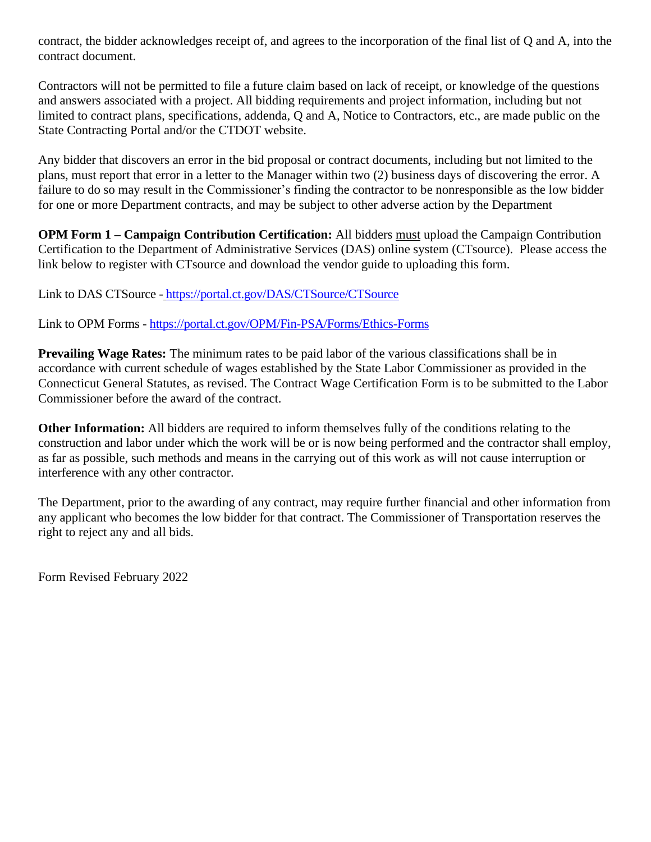contract, the bidder acknowledges receipt of, and agrees to the incorporation of the final list of Q and A, into the contract document.

Contractors will not be permitted to file a future claim based on lack of receipt, or knowledge of the questions and answers associated with a project. All bidding requirements and project information, including but not limited to contract plans, specifications, addenda, Q and A, Notice to Contractors, etc., are made public on the State Contracting Portal and/or the CTDOT website.

Any bidder that discovers an error in the bid proposal or contract documents, including but not limited to the plans, must report that error in a letter to the Manager within two (2) business days of discovering the error. A failure to do so may result in the Commissioner's finding the contractor to be nonresponsible as the low bidder for one or more Department contracts, and may be subject to other adverse action by the Department

**OPM Form 1 – Campaign Contribution Certification:** All bidders must upload the Campaign Contribution Certification to the Department of Administrative Services (DAS) online system (CTsource). Please access the link below to register with CTsource and download the vendor guide to uploading this form.

Link to DAS CTSource - <https://portal.ct.gov/DAS/CTSource/CTSource>

Link to OPM Forms - <https://portal.ct.gov/OPM/Fin-PSA/Forms/Ethics-Forms>

**Prevailing Wage Rates:** The minimum rates to be paid labor of the various classifications shall be in accordance with current schedule of wages established by the State Labor Commissioner as provided in the Connecticut General Statutes, as revised. The Contract Wage Certification Form is to be submitted to the Labor Commissioner before the award of the contract.

**Other Information:** All bidders are required to inform themselves fully of the conditions relating to the construction and labor under which the work will be or is now being performed and the contractor shall employ, as far as possible, such methods and means in the carrying out of this work as will not cause interruption or interference with any other contractor.

The Department, prior to the awarding of any contract, may require further financial and other information from any applicant who becomes the low bidder for that contract. The Commissioner of Transportation reserves the right to reject any and all bids.

Form Revised February 2022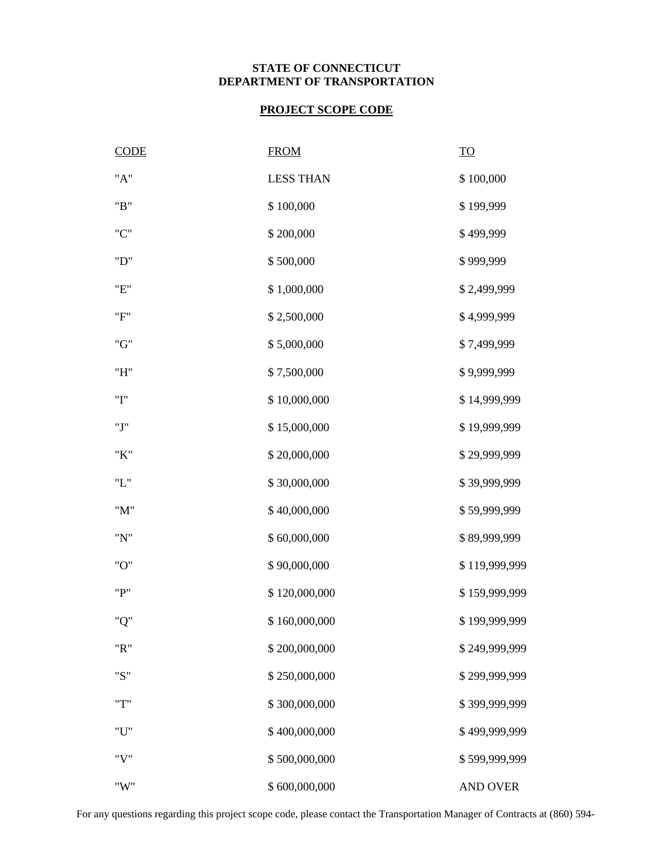# **STATE OF CONNECTICUT DEPARTMENT OF TRANSPORTATION**

# **PROJECT SCOPE CODE**

| <b>CODE</b> | <b>FROM</b>      | $\underline{\operatorname{TO}}$ |
|-------------|------------------|---------------------------------|
| "A"         | <b>LESS THAN</b> | \$100,000                       |
| "B"         | \$100,000        | \$199,999                       |
| "C"         | \$200,000        | \$499,999                       |
| "D"         | \$500,000        | \$999,999                       |
| "E"         | \$1,000,000      | \$2,499,999                     |
| "F"         | \$2,500,000      | \$4,999,999                     |
| "G"         | \$5,000,000      | \$7,499,999                     |
| "H"         | \$7,500,000      | \$9,999,999                     |
| "I"         | \$10,000,000     | \$14,999,999                    |
| "J"         | \$15,000,000     | \$19,999,999                    |
| "K"         | \$20,000,000     | \$29,999,999                    |
| "L"         | \$30,000,000     | \$39,999,999                    |
| "M"         | \$40,000,000     | \$59,999,999                    |
| "N"         | \$60,000,000     | \$89,999,999                    |
| "O"         | \$90,000,000     | \$119,999,999                   |
| "P"         | \$120,000,000    | \$159,999,999                   |
| "Q"         | \$160,000,000    | \$199,999,999                   |
| "R"         | \$200,000,000    | \$249,999,999                   |
| "S"         | \$250,000,000    | \$299,999,999                   |
| "T"         | \$300,000,000    | \$399,999,999                   |
| $"U"$       | \$400,000,000    | \$499,999,999                   |
| "V"         | \$500,000,000    | \$599,999,999                   |
| "W"         | \$600,000,000    | <b>AND OVER</b>                 |

For any questions regarding this project scope code, please contact the Transportation Manager of Contracts at (860) 594-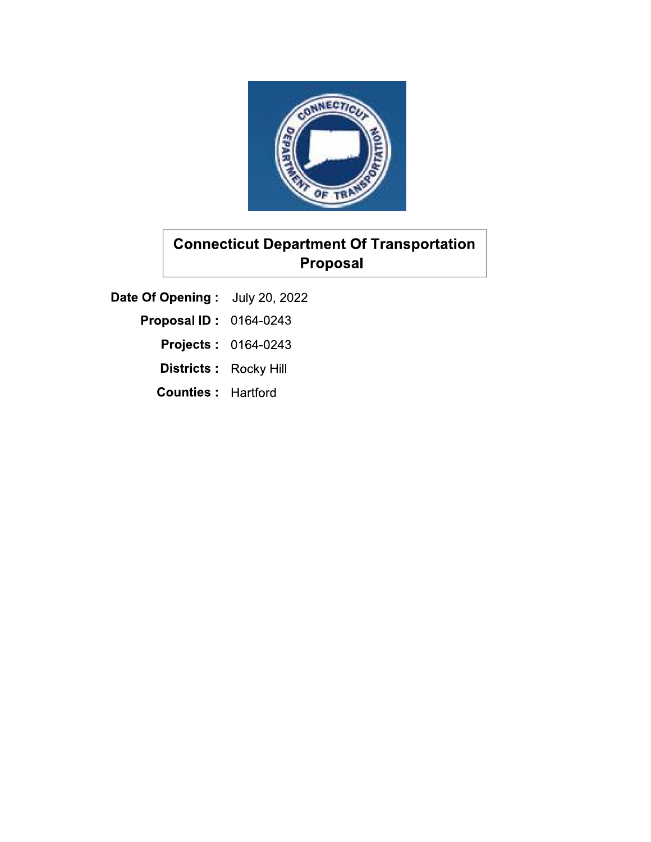

Date Of Opening: July 20, 2022

- **Proposal ID: 0164-0243** 
	- **Projects: 0164-0243**
	- Districts: Rocky Hill
	- **Counties: Hartford**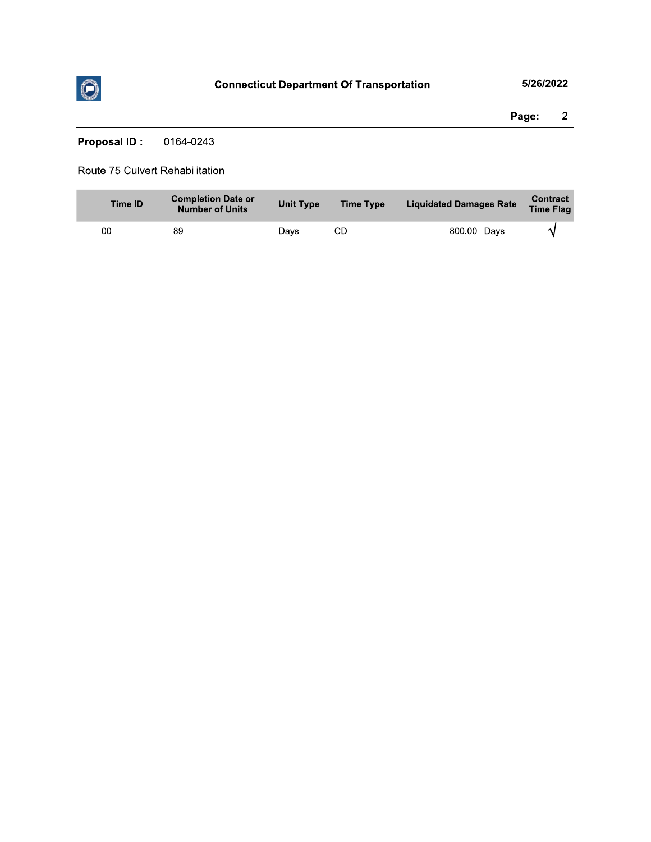

Page:  $\overline{2}$ 

**Proposal ID:** 0164-0243

### Route 75 Culvert Rehabilitation

| Time ID | <b>Completion Date or</b><br><b>Number of Units</b> | <b>Unit Type</b> | <b>Time Type</b> | <b>Liquidated Damages Rate</b> | Contract<br><b>Time Flag</b> |
|---------|-----------------------------------------------------|------------------|------------------|--------------------------------|------------------------------|
| 00      | 89                                                  | Davs             | CD               | 800.00 Days                    |                              |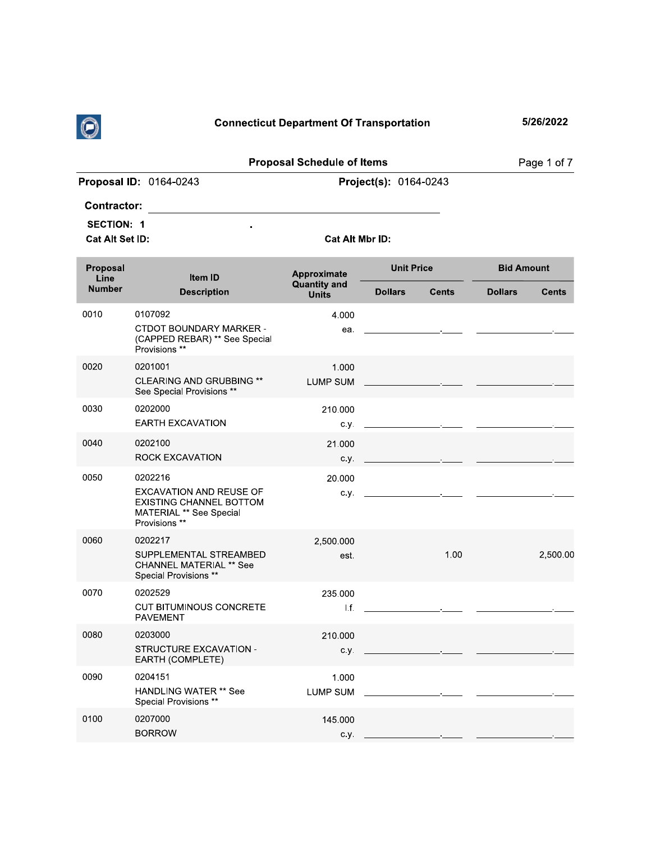

| $\odot$                |                                                                                                                     | <b>Connecticut Department Of Transportation</b> |                       |                                                                                                                                                                                                                                      |                   | 5/26/2022    |
|------------------------|---------------------------------------------------------------------------------------------------------------------|-------------------------------------------------|-----------------------|--------------------------------------------------------------------------------------------------------------------------------------------------------------------------------------------------------------------------------------|-------------------|--------------|
|                        |                                                                                                                     | <b>Proposal Schedule of Items</b>               |                       |                                                                                                                                                                                                                                      |                   | Page 1 of 7  |
|                        | Proposal ID: 0164-0243                                                                                              |                                                 | Project(s): 0164-0243 |                                                                                                                                                                                                                                      |                   |              |
| <b>Contractor:</b>     |                                                                                                                     |                                                 |                       |                                                                                                                                                                                                                                      |                   |              |
| <b>SECTION: 1</b>      |                                                                                                                     |                                                 |                       |                                                                                                                                                                                                                                      |                   |              |
| <b>Cat Alt Set ID:</b> |                                                                                                                     | Cat Alt Mbr ID:                                 |                       |                                                                                                                                                                                                                                      |                   |              |
| Proposal<br>Line       | Item ID                                                                                                             | Approximate                                     | <b>Unit Price</b>     |                                                                                                                                                                                                                                      | <b>Bid Amount</b> |              |
| <b>Number</b>          | <b>Description</b>                                                                                                  | <b>Quantity and</b><br><b>Units</b>             | <b>Dollars</b>        | <b>Cents</b>                                                                                                                                                                                                                         | <b>Dollars</b>    | <b>Cents</b> |
| 0010                   | 0107092                                                                                                             | 4.000                                           |                       |                                                                                                                                                                                                                                      |                   |              |
|                        | CTDOT BOUNDARY MARKER -<br>(CAPPED REBAR) ** See Special<br>Provisions **                                           | ea.                                             |                       | the contract of the contract of the contract of the contract of the                                                                                                                                                                  |                   |              |
| 0020                   | 0201001                                                                                                             | 1.000                                           |                       |                                                                                                                                                                                                                                      |                   |              |
|                        | <b>CLEARING AND GRUBBING **</b><br>See Special Provisions **                                                        | <b>LUMP SUM</b>                                 |                       |                                                                                                                                                                                                                                      |                   |              |
| 0030                   | 0202000                                                                                                             | 210.000                                         |                       |                                                                                                                                                                                                                                      |                   |              |
|                        | <b>EARTH EXCAVATION</b>                                                                                             | с.у.                                            |                       | the control of the control of the                                                                                                                                                                                                    |                   |              |
| 0040                   | 0202100<br><b>ROCK EXCAVATION</b>                                                                                   | 21.000<br>с.у.                                  |                       | <u> 1989 - Jan Stein Harry Stein Harry Stein Harry Stein Harry Stein Harry Stein Harry Stein Harry Stein Harry Stein Harry Stein Harry Stein Harry Stein Harry Stein Harry Stein Harry Stein Harry Stein Harry Stein Harry Stein</u> |                   |              |
| 0050                   | 0202216                                                                                                             | 20.000                                          |                       |                                                                                                                                                                                                                                      |                   |              |
|                        | <b>EXCAVATION AND REUSE OF</b><br><b>EXISTING CHANNEL BOTTOM</b><br><b>MATERIAL ** See Special</b><br>Provisions ** |                                                 |                       |                                                                                                                                                                                                                                      |                   |              |
| 0060                   | 0202217                                                                                                             | 2,500.000                                       |                       |                                                                                                                                                                                                                                      |                   |              |
|                        | SUPPLEMENTAL STREAMBED<br><b>CHANNEL MATERIAL ** See</b><br>Special Provisions **                                   | est.                                            |                       | 1.00                                                                                                                                                                                                                                 |                   | 2,500.00     |
| 0070                   | 0202529                                                                                                             | 235.000                                         |                       |                                                                                                                                                                                                                                      |                   |              |
|                        | <b>CUT BITUMINOUS CONCRETE</b><br><b>PAVEMENT</b>                                                                   | $\mathsf{L}$ f.                                 |                       |                                                                                                                                                                                                                                      |                   |              |
| 0080                   | 0203000                                                                                                             | 210.000                                         |                       |                                                                                                                                                                                                                                      |                   |              |
|                        | STRUCTURE EXCAVATION -<br>EARTH (COMPLETE)                                                                          | c.y.                                            |                       |                                                                                                                                                                                                                                      |                   |              |
| 0090                   | 0204151                                                                                                             | 1.000                                           |                       |                                                                                                                                                                                                                                      |                   |              |
|                        | <b>HANDLING WATER ** See</b><br>Special Provisions **                                                               | LUMP SUM                                        |                       |                                                                                                                                                                                                                                      |                   |              |
| 0100                   | 0207000                                                                                                             | 145.000                                         |                       |                                                                                                                                                                                                                                      |                   |              |
|                        | <b>BORROW</b>                                                                                                       | C.V.                                            |                       |                                                                                                                                                                                                                                      |                   |              |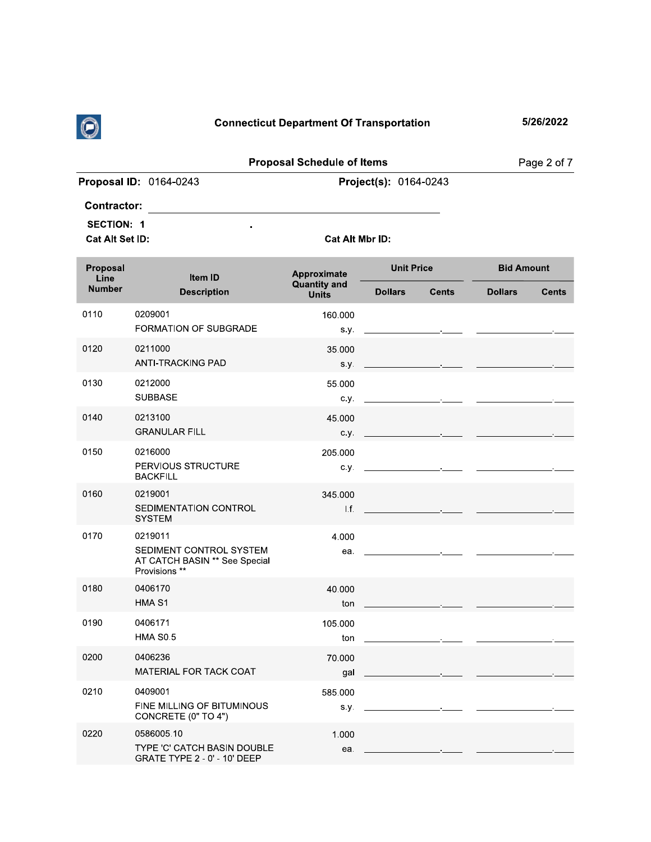

|                        | <b>Connecticut Department Of Transportation</b>     | 5/26/2022             |                   |
|------------------------|-----------------------------------------------------|-----------------------|-------------------|
|                        | <b>Proposal Schedule of Items</b>                   |                       | Page 2 of 7       |
| Proposal ID: 0164-0243 |                                                     | Project(s): 0164-0243 |                   |
| <b>Contractor:</b>     |                                                     |                       |                   |
| <b>SECTION: 1</b>      | $\bullet$                                           |                       |                   |
| Cat Alt Set ID:        | Cat Alt Mbr ID:                                     |                       |                   |
| <b>Proposal</b>        | and the contract of the contract of the contract of | <b>Unit Price</b>     | <b>Bid Amount</b> |

| Page 2 of 7                                                                    |                                                    |                                                                                 | <b>Proposal Schedule of Items</b>                  |                                                                                      |                                      |
|--------------------------------------------------------------------------------|----------------------------------------------------|---------------------------------------------------------------------------------|----------------------------------------------------|--------------------------------------------------------------------------------------|--------------------------------------|
|                                                                                |                                                    | Project(s): 0164-0243                                                           |                                                    | Proposal ID: 0164-0243                                                               |                                      |
|                                                                                |                                                    |                                                                                 |                                                    |                                                                                      | <b>Contractor:</b>                   |
|                                                                                |                                                    |                                                                                 | Cat Alt Mbr ID:                                    |                                                                                      | <b>SECTION: 1</b><br>Cat Alt Set ID: |
| <b>Bid Amount</b><br><b>Dollars</b><br><b>Cents</b>                            | <b>Cents</b>                                       | <b>Unit Price</b><br><b>Dollars</b>                                             | Approximate<br><b>Quantity and</b><br><b>Units</b> | Item ID<br><b>Description</b>                                                        | Proposal<br>Line<br><b>Number</b>    |
|                                                                                |                                                    |                                                                                 | 160.000                                            | 0209001                                                                              | 0110                                 |
|                                                                                | the control of the control of the                  |                                                                                 | s.y.                                               | FORMATION OF SUBGRADE                                                                |                                      |
|                                                                                | the control of the control of the control of       |                                                                                 | 35.000<br>s.y.                                     | 0211000<br><b>ANTI-TRACKING PAD</b>                                                  | 0120                                 |
|                                                                                | the control of the control of the con-             |                                                                                 | 55.000<br>c.y.                                     | 0212000<br><b>SUBBASE</b>                                                            | 0130                                 |
|                                                                                | and the control of the control of                  |                                                                                 | 45.000<br>c.y.                                     | 0213100<br><b>GRANULAR FILL</b>                                                      | 0140                                 |
|                                                                                |                                                    |                                                                                 | 205.000<br>с.у.                                    | 0216000<br>PERVIOUS STRUCTURE<br><b>BACKFILL</b>                                     | 0150                                 |
| the control of the control of the control of the control of the control of the |                                                    |                                                                                 | 345.000<br>1.f.                                    | 0219001<br>SEDIMENTATION CONTROL<br><b>SYSTEM</b>                                    | 0160                                 |
|                                                                                |                                                    | <u> 1980 - Andrea Andrew Maria (h. 1980).</u><br>1900 - Andrew Maria (h. 1900). | 4.000<br>ea.                                       | 0219011<br>SEDIMENT CONTROL SYSTEM<br>AT CATCH BASIN ** See Special<br>Provisions ** | 0170                                 |
|                                                                                | <u> 1989 - Johann Barbara, martxa a shekara 19</u> |                                                                                 | 40.000<br>ton                                      | 0406170<br>HMA <sub>S1</sub>                                                         | 0180                                 |
|                                                                                |                                                    |                                                                                 | 105.000<br>ton                                     | 0406171<br><b>HMA S0.5</b>                                                           | 0190                                 |
|                                                                                |                                                    |                                                                                 | 70.000<br>gal                                      | 0406236<br>MATERIAL FOR TACK COAT                                                    | 0200                                 |
|                                                                                |                                                    |                                                                                 | 585.000<br>s.y.                                    | 0409001<br>FINE MILLING OF BITUMINOUS<br>CONCRETE (0" TO 4")                         | 0210                                 |
|                                                                                |                                                    |                                                                                 | 1.000<br>ea.                                       | 0586005.10<br>TYPE 'C' CATCH BASIN DOUBLE<br>GRATE TYPE 2 - 0' - 10' DEEP            | 0220                                 |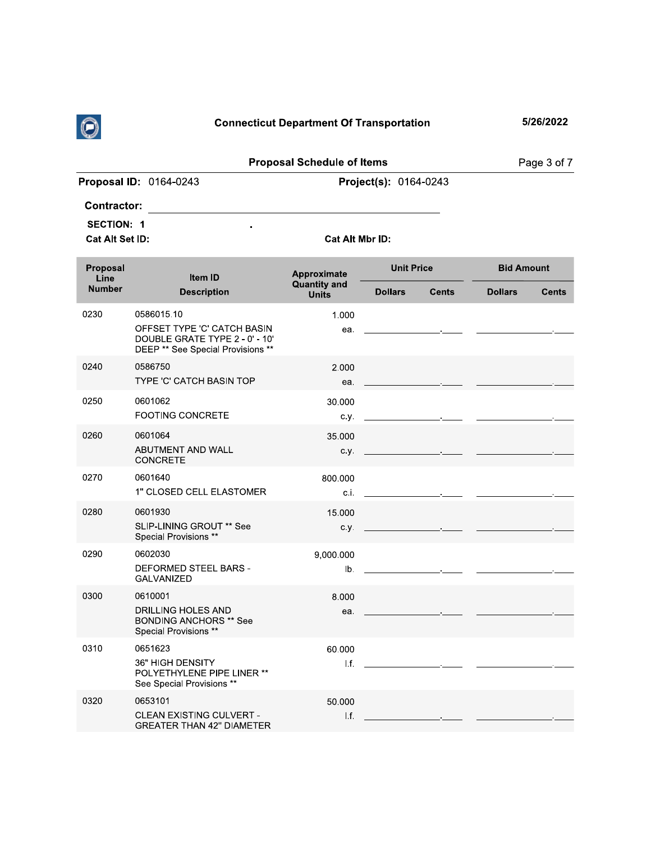

| $\bigcirc$                                                                    |                                                                                                                  | <b>Connecticut Department Of Transportation</b>    |                              |                                              |                   | 5/26/2022    |
|-------------------------------------------------------------------------------|------------------------------------------------------------------------------------------------------------------|----------------------------------------------------|------------------------------|----------------------------------------------|-------------------|--------------|
|                                                                               |                                                                                                                  | <b>Proposal Schedule of Items</b>                  |                              |                                              |                   | Page 3 of 7  |
|                                                                               | Proposal ID: 0164-0243                                                                                           |                                                    | <b>Project(s): 0164-0243</b> |                                              |                   |              |
| <b>Contractor:</b><br><b>SECTION: 1</b><br>Cat Alt Set ID:<br><b>Proposal</b> | ÷                                                                                                                | Cat Alt Mbr ID:                                    | <b>Unit Price</b>            |                                              | <b>Bid Amount</b> |              |
| Line<br><b>Number</b>                                                         | Item ID<br><b>Description</b>                                                                                    | Approximate<br><b>Quantity and</b><br><b>Units</b> | <b>Dollars</b>               | <b>Cents</b>                                 | <b>Dollars</b>    | <b>Cents</b> |
| 0230                                                                          | 0586015.10<br>OFFSET TYPE 'C' CATCH BASIN<br>DOUBLE GRATE TYPE 2 - 0' - 10'<br>DEEP ** See Special Provisions ** | 1.000<br>ea.                                       |                              | the control of the control of the control of |                   |              |
| 0240                                                                          | 0586750<br>TYPE 'C' CATCH BASIN TOP                                                                              | 2.000<br>ea.                                       |                              |                                              |                   |              |
|                                                                               |                                                                                                                  |                                                    |                              |                                              |                   |              |

|      | DEEP ** See Special Provisions **                                                             |                  |                                                                 |  |
|------|-----------------------------------------------------------------------------------------------|------------------|-----------------------------------------------------------------|--|
| 0240 | 0586750<br>TYPE 'C' CATCH BASIN TOP                                                           | 2.000<br>ea.     |                                                                 |  |
| 0250 | 0601062<br><b>FOOTING CONCRETE</b>                                                            | 30.000<br>c.y.   | <b>Contract Contract</b>                                        |  |
| 0260 | 0601064<br>ABUTMENT AND WALL<br><b>CONCRETE</b>                                               | 35.000<br>c.y.   |                                                                 |  |
| 0270 | 0601640<br>1" CLOSED CELL ELASTOMER                                                           | 800.000<br>c.i.  | the control of the control of the control of                    |  |
| 0280 | 0601930<br>SLIP-LINING GROUT ** See<br>Special Provisions **                                  | 15.000<br>C.V.   | the control of the control of the control of                    |  |
| 0290 | 0602030<br><b>DEFORMED STEEL BARS -</b><br><b>GALVANIZED</b>                                  | 9,000.000<br>Ib. |                                                                 |  |
| 0300 | 0610001<br>DRILLING HOLES AND<br><b>BONDING ANCHORS ** See</b><br>Special Provisions **       | 8.000<br>ea.     |                                                                 |  |
| 0310 | 0651623<br><b>36" HIGH DENSITY</b><br>POLYETHYLENE PIPE LINER **<br>See Special Provisions ** | 60.000<br>1.f.   | the contract of the contract of the contract of the contract of |  |
| 0320 | 0653101<br><b>CLEAN EXISTING CULVERT -</b><br><b>GREATER THAN 42" DIAMETER</b>                | 50.000<br>I.f.   |                                                                 |  |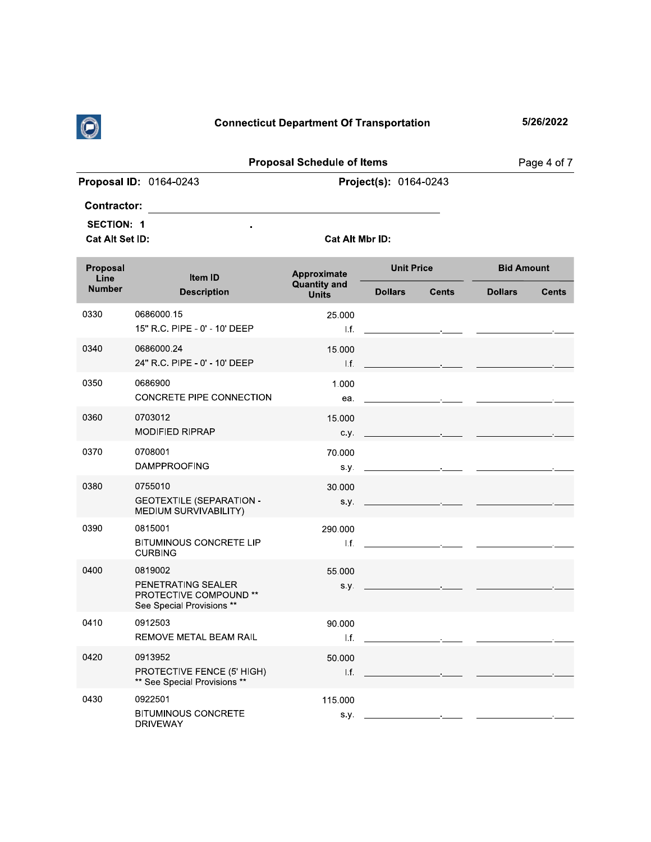

5/26/2022

|                               | <b>Proposal Schedule of Items</b> | Page 4 of 7 |
|-------------------------------|-----------------------------------|-------------|
| <b>Proposal ID: 0164-0243</b> | <b>Project(s):</b> $0164 - 0243$  |             |
| <b>Contractor:</b>            |                                   |             |

 $\ddot{\phantom{1}}$ 

**SECTION: 1** 

Cat Alt Set ID:

Cat Alt Mbr ID:

| Proposal<br>Line | Item ID                                                                                     | Approximate                         | <b>Unit Price</b>                                                                                                                                                                                                                    |              | <b>Bid Amount</b> |              |
|------------------|---------------------------------------------------------------------------------------------|-------------------------------------|--------------------------------------------------------------------------------------------------------------------------------------------------------------------------------------------------------------------------------------|--------------|-------------------|--------------|
| <b>Number</b>    | <b>Description</b>                                                                          | <b>Quantity and</b><br><b>Units</b> | <b>Dollars</b>                                                                                                                                                                                                                       | <b>Cents</b> | <b>Dollars</b>    | <b>Cents</b> |
| 0330             | 0686000.15<br>15" R.C. PIPE - 0' - 10' DEEP                                                 | 25.000<br>If.                       | the contract of the contract of the contract of the contract of the contract of                                                                                                                                                      |              |                   |              |
| 0340             | 0686000.24<br>24" R.C. PIPE - 0' - 10' DEEP                                                 | 15.000<br>If.                       | the control of the control of the control of                                                                                                                                                                                         |              |                   |              |
| 0350             | 0686900<br>CONCRETE PIPE CONNECTION                                                         | 1.000<br>ea.                        | the contract of the contract of the contract of                                                                                                                                                                                      |              |                   |              |
| 0360             | 0703012<br><b>MODIFIED RIPRAP</b>                                                           | 15.000<br>c.y.                      | the control of the control of the control of                                                                                                                                                                                         |              |                   |              |
| 0370             | 0708001<br><b>DAMPPROOFING</b>                                                              | 70.000<br>S.V.                      | <u> 1990 - John Harry Harry Harry Harry Harry Harry Harry Harry Harry Harry Harry Harry Harry Harry Harry Harry Harry Harry Harry Harry Harry Harry Harry Harry Harry Harry Harry Harry Harry Harry Harry Harry Harry Harry Harr</u> |              |                   |              |
| 0380             | 0755010<br><b>GEOTEXTILE (SEPARATION -</b><br>MEDIUM SURVIVABILITY)                         | 30.000<br>S. y.                     | the control of the control of the control of                                                                                                                                                                                         |              |                   |              |
| 0390             | 0815001<br><b>BITUMINOUS CONCRETE LIP</b><br><b>CURBING</b>                                 | 290.000<br>l.f.                     | the contract of the contract of the contract of the                                                                                                                                                                                  |              |                   |              |
| 0400             | 0819002<br>PENETRATING SEALER<br><b>PROTECTIVE COMPOUND **</b><br>See Special Provisions ** | 55.000<br>s.y.                      | the control of the control of the control of                                                                                                                                                                                         |              |                   |              |
| 0410             | 0912503<br>REMOVE METAL BEAM RAIL                                                           | 90.000<br>Lf.                       | the contract of the contract of the contract of                                                                                                                                                                                      |              |                   |              |
| 0420             | 0913952<br>PROTECTIVE FENCE (5' HIGH)<br>** See Special Provisions **                       | 50.000<br>1.f.                      | the control of the control of the control of                                                                                                                                                                                         |              |                   |              |
| 0430             | 0922501<br><b>BITUMINOUS CONCRETE</b><br><b>DRIVEWAY</b>                                    | 115.000<br>S.Y.                     | <u> 1999 - Johann Barbara, martin a</u>                                                                                                                                                                                              |              |                   |              |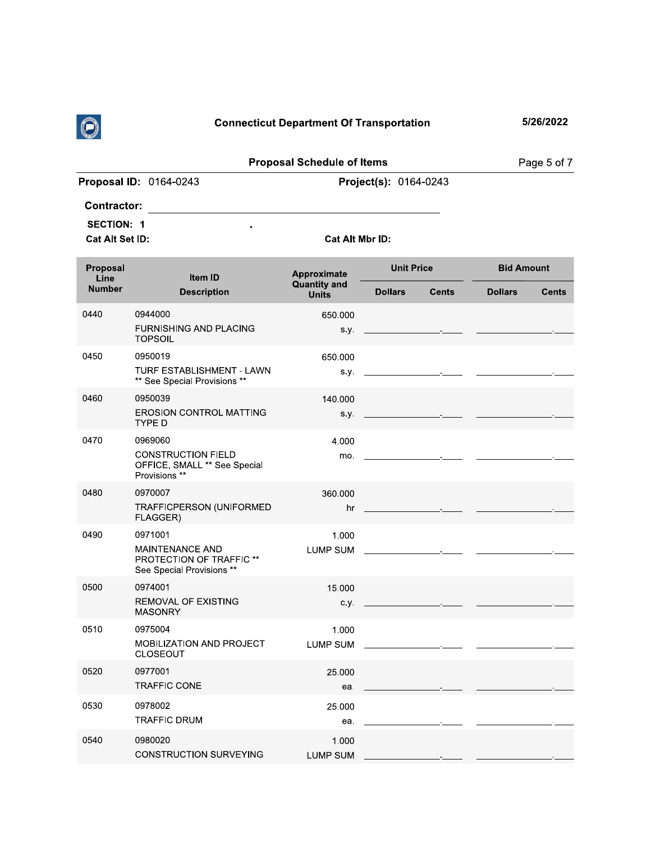

| (C)                                  |                                                            | <b>Connecticut Department Of Transportation</b> |                       |                                              |                   | 5/26/2022    |
|--------------------------------------|------------------------------------------------------------|-------------------------------------------------|-----------------------|----------------------------------------------|-------------------|--------------|
|                                      |                                                            | <b>Proposal Schedule of Items</b>               |                       |                                              |                   | Page 5 of 7  |
|                                      | Proposal ID: 0164-0243                                     |                                                 | Project(s): 0164-0243 |                                              |                   |              |
| <b>Contractor:</b>                   |                                                            |                                                 |                       |                                              |                   |              |
| <b>SECTION: 1</b><br>Cat Alt Set ID: | $\blacksquare$                                             | Cat Alt Mbr ID:                                 |                       |                                              |                   |              |
| Proposal<br>Line                     | Item ID                                                    | Approximate                                     | <b>Unit Price</b>     |                                              | <b>Bid Amount</b> |              |
| <b>Number</b>                        | <b>Description</b>                                         | <b>Quantity and</b><br><b>Units</b>             | <b>Dollars</b>        | <b>Cents</b>                                 | <b>Dollars</b>    | <b>Cents</b> |
| 0440                                 | 0944000<br><b>FURNISHING AND PLACING</b><br><b>TOPSOIL</b> | 650.000<br>S.V.                                 |                       | the control of the control of the control of |                   |              |

|      | <b>FURNISHING AND PLACING</b><br><b>TOPSOIL</b>                                            |                          | S.V. $\qquad \qquad$                         |  |
|------|--------------------------------------------------------------------------------------------|--------------------------|----------------------------------------------|--|
| 0450 | 0950019<br>TURF ESTABLISHMENT - LAWN<br>** See Special Provisions **                       | 650.000<br>s.y.          | the control of the control of the control of |  |
| 0460 | 0950039<br><b>EROSION CONTROL MATTING</b><br><b>TYPE D</b>                                 | 140.000<br>S.Y.          | the control of the control of the control of |  |
| 0470 | 0969060<br><b>CONSTRUCTION FIELD</b><br>OFFICE, SMALL ** See Special<br>Provisions **      | 4.000<br>mo.             | the control of the control of the control of |  |
| 0480 | 0970007<br>TRAFFICPERSON (UNIFORMED<br>FLAGGER)                                            | 360.000<br>hr            |                                              |  |
| 0490 | 0971001<br><b>MAINTENANCE AND</b><br>PROTECTION OF TRAFFIC **<br>See Special Provisions ** | 1.000<br><b>LUMP SUM</b> |                                              |  |
| 0500 | 0974001<br><b>REMOVAL OF EXISTING</b><br><b>MASONRY</b>                                    | 15.000<br>c.y.           |                                              |  |
| 0510 | 0975004<br><b>MOBILIZATION AND PROJECT</b><br><b>CLOSEOUT</b>                              | 1.000<br><b>LUMP SUM</b> |                                              |  |
| 0520 | 0977001<br><b>TRAFFIC CONE</b>                                                             | 25.000<br>ea.            |                                              |  |
| 0530 | 0978002<br><b>TRAFFIC DRUM</b>                                                             | 25.000<br>ea.            | the control of the control of the control of |  |
| 0540 | 0980020<br><b>CONSTRUCTION SURVEYING</b>                                                   | 1.000<br><b>LUMP SUM</b> |                                              |  |
|      |                                                                                            |                          |                                              |  |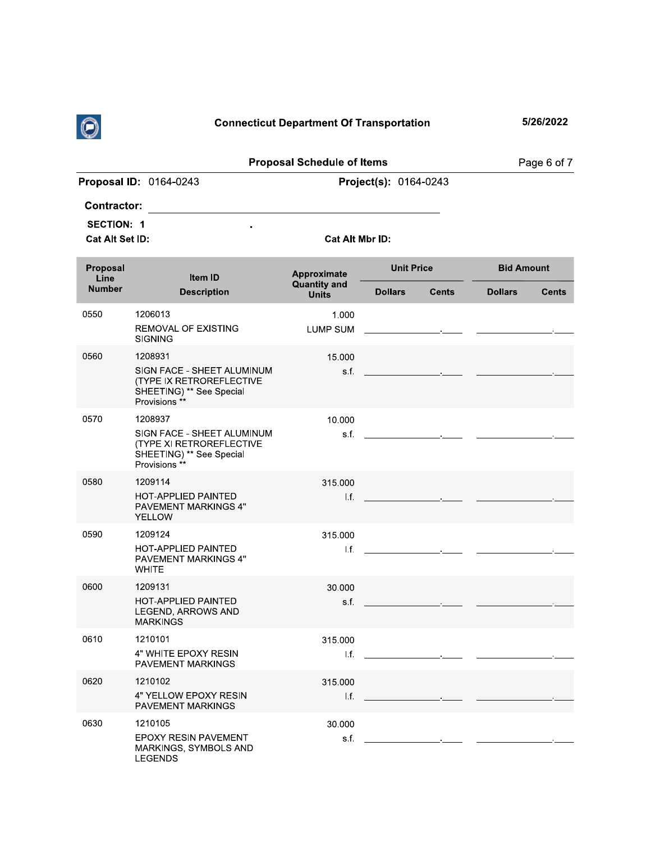

|                                                                   |                                                                                                                | <b>Connecticut Department Of Transportation</b> |                                                                                                                        | 5/26/2022                      |
|-------------------------------------------------------------------|----------------------------------------------------------------------------------------------------------------|-------------------------------------------------|------------------------------------------------------------------------------------------------------------------------|--------------------------------|
|                                                                   |                                                                                                                | <b>Proposal Schedule of Items</b>               |                                                                                                                        | Page 6 of 7                    |
|                                                                   | Proposal ID: 0164-0243                                                                                         |                                                 | Project(s): 0164-0243                                                                                                  |                                |
| <b>Contractor:</b><br><b>SECTION: 1</b><br><b>Cat Alt Set ID:</b> |                                                                                                                | <b>Cat Alt Mbr ID:</b>                          |                                                                                                                        |                                |
| Proposal<br>Line                                                  | Item ID                                                                                                        | Approximate                                     | <b>Unit Price</b>                                                                                                      | <b>Bid Amount</b>              |
| <b>Number</b>                                                     | <b>Description</b>                                                                                             | <b>Quantity and</b><br><b>Units</b>             | <b>Dollars</b><br><b>Cents</b>                                                                                         | <b>Dollars</b><br><b>Cents</b> |
| 0550                                                              | 1206013<br><b>REMOVAL OF EXISTING</b><br><b>SIGNING</b>                                                        | 1.000<br>LUMP SUM                               | the control of the control of the control of the control of the control of                                             |                                |
| 0560                                                              | 1208931<br>SIGN FACE - SHEET ALUMINUM<br>(TYPE IX RETROREFLECTIVE<br>SHEETING) ** See Special<br>Provisions ** | 15.000                                          | s.f. $\qquad \qquad \qquad$                                                                                            |                                |
| 0570                                                              | 1208937<br>SIGN FACE - SHEET ALUMINUM<br>(TYPE XI RETROREFLECTIVE<br>SHEETING) ** See Special<br>Provisions ** | 10.000                                          |                                                                                                                        |                                |
| 0580                                                              | 1209114<br>HOT-APPLIED PAINTED<br><b>PAVEMENT MARKINGS 4"</b><br><b>YELLOW</b>                                 | 315,000<br>l.f.                                 | <u> 1990 - Jan Alexandri, politik fizikar (</u>                                                                        |                                |
| 0590                                                              | 1209124<br>HOT-APPLIED PAINTED<br>PAVEMENT MARKINGS 4"<br><b>WHITE</b>                                         | 315.000                                         | 1.f. the contract of the contract of the contract of the contract of the contract of                                   |                                |
| 0600                                                              | 1209131<br>HOT-APPLIED PAINTED<br>LEGEND, ARROWS AND<br><b>MARKINGS</b>                                        | 30.000<br>s.f.                                  |                                                                                                                        |                                |
| 0610                                                              | 1210101<br>4" WHITE EPOXY RESIN<br>PAVEMENT MARKINGS                                                           | 315.000<br>I.f.                                 | <u> 1989 - Jan Stein Harry Harry Harry Harry Harry Harry Harry Harry Harry Harry Harry Harry Harry Harry Harry Har</u> |                                |
| 0620                                                              | 1210102<br>4" YELLOW EPOXY RESIN<br><b>PAVEMENT MARKINGS</b>                                                   | 315.000                                         | $\mathbf{L}$ f. $\mathbf{L}$ and $\mathbf{L}$ and $\mathbf{L}$ and $\mathbf{L}$ and $\mathbf{L}$ and $\mathbf{L}$      |                                |
| 0630                                                              | 1210105<br>EPOXY RESIN PAVEMENT<br>MARKINGS, SYMBOLS AND<br><b>LEGENDS</b>                                     | 30.000                                          |                                                                                                                        |                                |